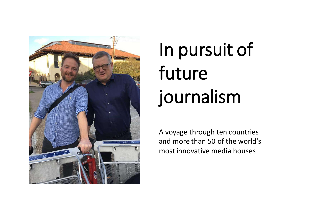

# In pursuit of future journalism

A voyage through ten countries and more than 50 of the world's most innovative media houses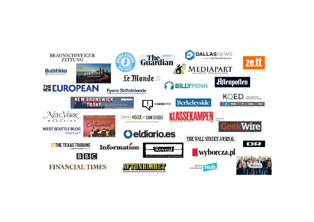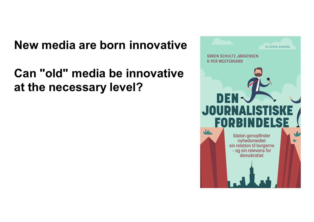#### **New media are born innovative**

### **Can "old" media be innovative at the necessary level?**

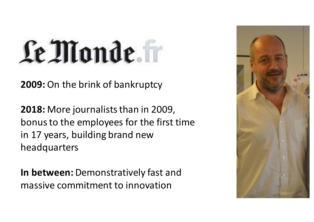# Le Monde.

**2009:** On the brink of bankruptcy

**2018:** More journalists than in 2009, bonus to the employees for the first time in 17 years, building brand new headquarters

**In between:** Demonstratively fast and massive commitment to innovation

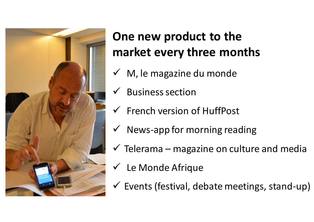

### **One new product to the market every three months**

- $\checkmark$  M, le magazine du monde
- $\checkmark$  Business section
- ✓ French version of HuffPost
- $\checkmark$  News-app for morning reading
- $\checkmark$  Telerama magazine on culture and media
- $\checkmark$  Le Monde Afrique
- $\checkmark$  Events (festival, debate meetings, stand-up)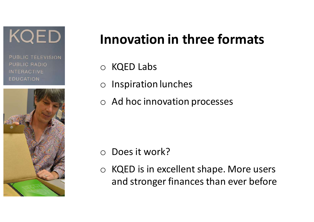KQED

PUBLIC TELEVISION **PUBLIC RADIO INTERACTIVE EDUCATION** 



## **Innovation in three formats**

- o KQED Labs
- o Inspiration lunches
- o Ad hoc innovation processes

- Does it work?
- o KQED is in excellent shape. More users and stronger finances than ever before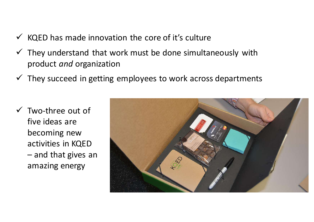- $\checkmark$  KQED has made innovation the core of it's culture
- $\checkmark$  They understand that work must be done simultaneously with product *and* organization
- $\checkmark$  They succeed in getting employees to work across departments
- $\checkmark$  Two-three out of five ideas are becoming new activities in KQED – and that gives an amazing energy